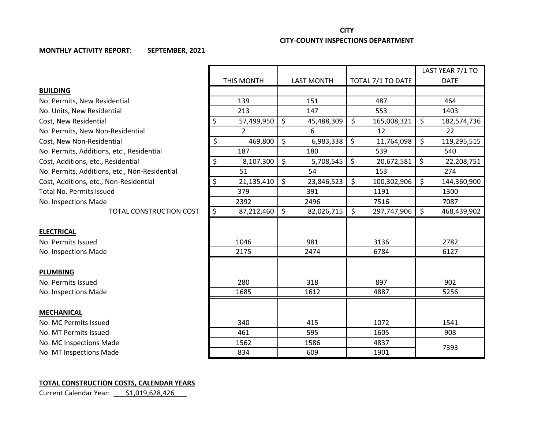## **CITY CITY-COUNTY INSPECTIONS DEPARTMENT**

## **MONTHLY ACTIVITY REPORT: SEPTEMBER, 2021**

|                                               |            |                |                   |            |                   |             |             | LAST YEAR 7/1 TO |  |
|-----------------------------------------------|------------|----------------|-------------------|------------|-------------------|-------------|-------------|------------------|--|
|                                               | THIS MONTH |                | <b>LAST MONTH</b> |            | TOTAL 7/1 TO DATE |             | <b>DATE</b> |                  |  |
| <b>BUILDING</b>                               |            |                |                   |            |                   |             |             |                  |  |
| No. Permits, New Residential                  | 139        |                | 151               |            | 487               |             | 464         |                  |  |
| No. Units, New Residential                    |            | 213            |                   | 147        |                   | 553         |             | 1403             |  |
| Cost, New Residential                         | \$         | 57,499,950     | \$                | 45,488,309 | \$                | 165,008,321 | \$          | 182,574,736      |  |
| No. Permits, New Non-Residential              |            | $\overline{2}$ |                   | 6          |                   | 12          |             | 22               |  |
| Cost, New Non-Residential                     | \$         | 469,800        | \$                | 6,983,338  | $\zeta$           | 11,764,098  | \$          | 119,295,515      |  |
| No. Permits, Additions, etc., Residential     |            | 187            |                   | 180        |                   | 539         |             | 540              |  |
| Cost, Additions, etc., Residential            | \$         | 8,107,300      | \$                | 5,708,545  | $\zeta$           | 20,672,581  | \$          | 22,208,751       |  |
| No. Permits, Additions, etc., Non-Residential |            | 51             |                   | 54         |                   | 153         |             | 274              |  |
| Cost, Additions, etc., Non-Residential        | \$         | 21,135,410     | \$                | 23,846,523 | \$                | 100,302,906 | \$          | 144,360,900      |  |
| <b>Total No. Permits Issued</b>               |            | 379            |                   | 391        |                   | 1191        |             | 1300             |  |
| No. Inspections Made                          |            | 2392           |                   | 2496       |                   | 7516        |             | 7087             |  |
| TOTAL CONSTRUCTION COST                       | \$         | 87,212,460     | $\zeta$           | 82,026,715 | \$                | 297,747,906 | \$          | 468,439,902      |  |
|                                               |            |                |                   |            |                   |             |             |                  |  |
| <b>ELECTRICAL</b>                             |            |                |                   |            |                   |             |             |                  |  |
| No. Permits Issued                            | 1046       |                | 981               |            | 3136              |             | 2782        |                  |  |
| No. Inspections Made                          | 2175       |                | 2474              |            | 6784              |             | 6127        |                  |  |
|                                               |            |                |                   |            |                   |             |             |                  |  |
| <b>PLUMBING</b>                               |            |                |                   |            |                   |             |             |                  |  |
| No. Permits Issued                            | 280        |                | 318               |            | 897               |             |             | 902              |  |
| No. Inspections Made                          | 1685       |                | 1612              |            | 4887              |             | 5256        |                  |  |
|                                               |            |                |                   |            |                   |             |             |                  |  |
| <b>MECHANICAL</b>                             |            |                |                   |            |                   |             |             |                  |  |
| No. MC Permits Issued                         | 340        |                | 415               |            | 1072              |             |             | 1541             |  |
| No. MT Permits Issued                         | 461        |                | 595               |            | 1605              |             |             | 908              |  |
| No. MC Inspections Made                       | 1562       |                | 1586              |            | 4837              |             | 7393        |                  |  |
| No. MT Inspections Made                       |            | 834            |                   | 609        |                   | 1901        |             |                  |  |

## **TOTAL CONSTRUCTION COSTS, CALENDAR YEARS**

Current Calendar Year: \$1,019,628,426